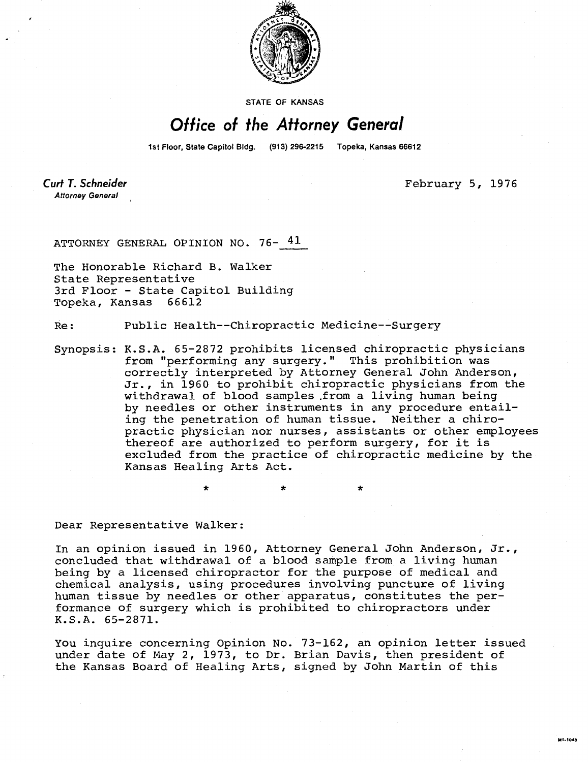

STATE OF KANSAS

## Office of the Attorney General

1st Floor, State Capitol Bldg. (913) 296-2215 Topeka, Kansas 66612

Curt T. Schneider **Attorney General** 

February 5, 1976

ATTORNEY GENERAL OPINION NO. 76- 41

The Honorable Richard B. Walker State Representative 3rd Floor - State Capitol Building Topeka, Kansas 66612

Re: Public Health--Chiropractic Medicine--Surgery

Synopsis: K.S.A. 65-2872 prohibits licensed chiropractic physicians from "performing any surgery." This prohibition was correctly interpreted by Attorney General John Anderson, Jr., in 1960 to prohibit chiropractic physicians from the withdrawal of blood samples .from a living human being by needles or other instruments in any procedure entailing the penetration of human tissue. Neither a chiropractic physician nor nurses, assistants or other employees thereof are authorized to perform surgery, for it is excluded from the practice of chiropractic medicine by the Kansas Healing Arts Act.

Dear Representative Walker:

In an opinion issued in 1960, Attorney General John Anderson, Jr., concluded that withdrawal of a blood sample from a living human being by a licensed chiropractor for the purpose of medical and chemical analysis, using procedures involving puncture of living human tissue by needles or other apparatus, constitutes the performance of surgery which is prohibited to chiropractors under K.S.A. 65-2871.

You inquire concerning Opinion No. 73-162, an opinion letter issued under date of May 2, 1973, to Dr. Brian Davis, then president of the Kansas Board of Healing Arts, signed by John Martin of this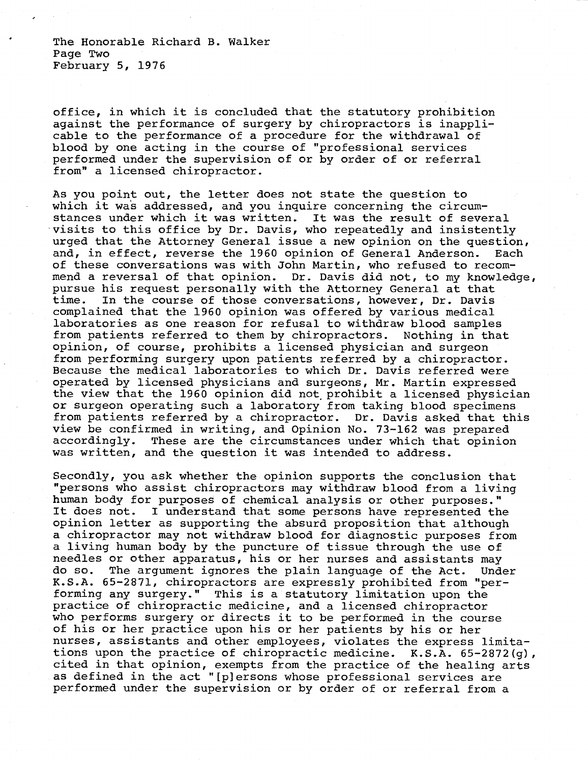The Honorable Richard B. Walker Page Two February 5, 1976

office, in which it is concluded that the statutory prohibition against the performance of surgery by chiropractors is inapplicable to the performance of a procedure for the withdrawal of blood by one acting in the course of "professional services performed under the supervision of or by order of or referral from" a licensed chiropractor.

As you point out, the letter does not state the question to which it was addressed, and you inquire concerning the circumstances under which it was written. It was the result of several visits to this office by Dr. Davis, who repeatedly and insistently urged that the Attorney General issue a new opinion on the question, and, in effect, reverse the 1960 opinion of General Anderson. Each of these conversations was with John Martin, who refused to recommend a reversal of that opinion. Dr. Davis did not, to my knowledge, pursue his request personally with the Attorney General at that time. In the course of those conversations, however, Dr. Davis complained that the 1960 opinion was offered by various medical laboratories as one reason for refusal to withdraw blood samples from patients referred to them by chiropractors. Nothing in that opinion, of course, prohibits a licensed physician and surgeon from performing surgery upon patients referred by a chiropractor. Because the medical laboratories to which Dr. Davis referred were operated by licensed physicians and surgeons, Mr. Martin expressed the view that the 1960 opinion did not prohibit a licensed physician or surgeon operating such a laboratory from taking blood specimens from patients referred by a chiropractor. Dr. Davis asked that this view be confirmed in writing, and Opinion No. 73-162 was prepared accordingly. These are the circumstances under which that opinion was written, and the question it was intended to address.

Secondly, you ask whether the opinion supports the conclusion that "persons who assist chiropractors may withdraw blood from a living human body for purposes of chemical analysis or other purposes." It does not. I understand that some persons have represented the opinion letter as supporting the absurd proposition that although a chiropractor may not withdraw blood for diagnostic purposes from a living human body by the puncture of tissue through the use of needles or other apparatus, his or her nurses and assistants may do so. The argument ignores the plain language of the Act. Under K.S.A. 65-2871, chiropractors are expressly prohibited from "performing any surgery." This is a statutory limitation upon the practice of chiropractic medicine, and a licensed chiropractor who performs surgery or directs it to be performed in the course of his or her practice upon his or her patients by his or her nurses, assistants and other employees, violates the express limitations upon the practice of chiropractic medicine. K.S.A. 65-2872(g), cited in that opinion, exempts from the practice of the healing arts as defined in the act "[p]ersons whose professional services are performed under the supervision or by order of or referral from a